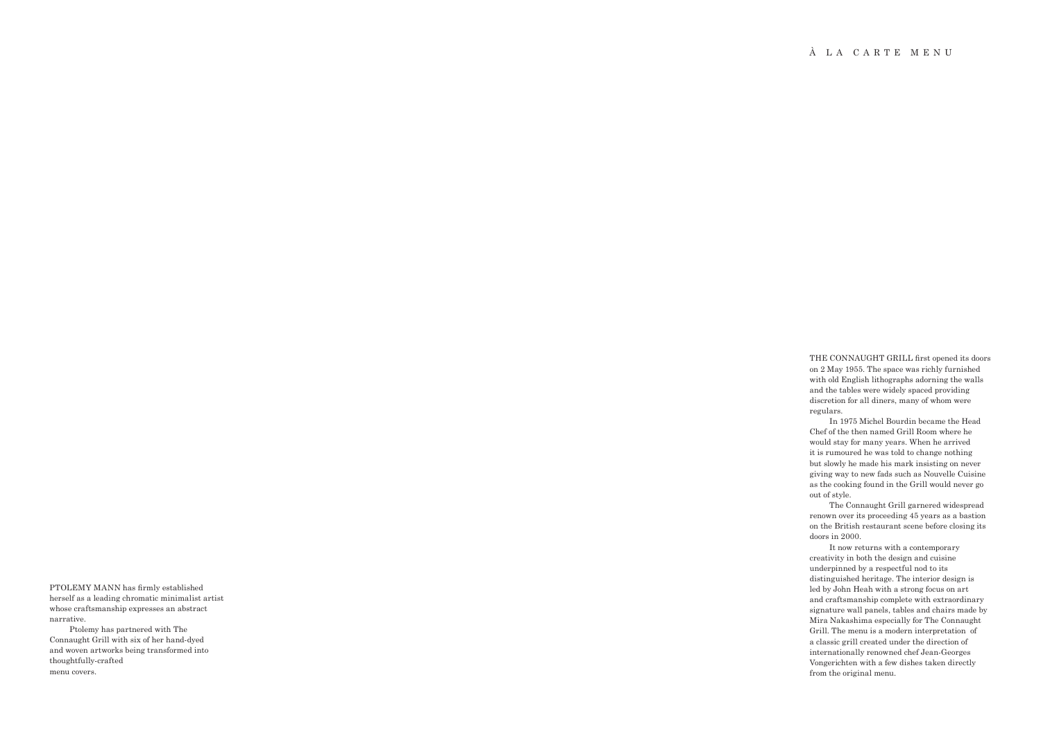THE CONNAUGHT GRILL first opened its doors on 2 May 1955. The space was richly furnished with old English lithographs adorning the walls and the tables were widely spaced providing discretion for all diners, many of whom were regulars.

In 1975 Michel Bourdin became the Head Chef of the then named Grill Room where he would stay for many years. When he arrived it is rumoured he was told to change nothing but slowly he made his mark insisting on never giving way to new fads such as Nouvelle Cuisine as the cooking found in the Grill would never go out of style.

The Connaught Grill garnered widespread renown over its proceeding 45 years as a bastion on the British restaurant scene before closing its doors in 2000.

It now returns with a contemporary creativity in both the design and cuisine underpinned by a respectful nod to its distinguished heritage. The interior design is led by John Heah with a strong focus on art and craftsmanship complete with extraordinary signature wall panels, tables and chairs made by Mira Nakashima especially for The Connaught Grill. The menu is a modern interpretation of a classic grill created under the direction of internationally renowned chef Jean-Georges Vongerichten with a few dishes taken directly from the original menu.

PTOLEMY MANN has firmly established herself as a leading chromatic minimalist artist whose craftsmanship expresses an abstract narrative.

Ptolemy has partnered with The Connaught Grill with six of her hand-dyed and woven artworks being transformed into thoughtfully-crafted menu covers.